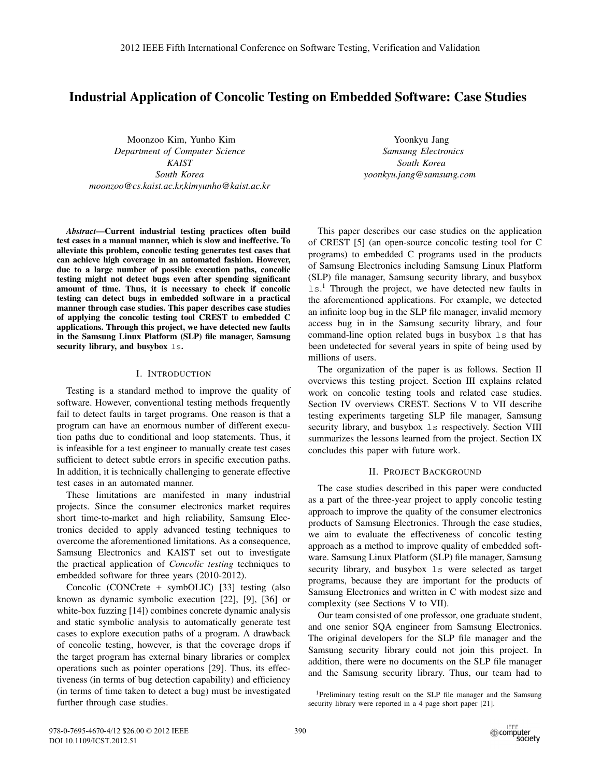# Industrial Application of Concolic Testing on Embedded Software: Case Studies

Moonzoo Kim, Yunho Kim *Department of Computer Science KAIST South Korea moonzoo@cs.kaist.ac.kr,kimyunho@kaist.ac.kr*

*Abstract*—Current industrial testing practices often build test cases in a manual manner, which is slow and ineffective. To alleviate this problem, concolic testing generates test cases that can achieve high coverage in an automated fashion. However, due to a large number of possible execution paths, concolic testing might not detect bugs even after spending significant amount of time. Thus, it is necessary to check if concolic testing can detect bugs in embedded software in a practical manner through case studies. This paper describes case studies of applying the concolic testing tool CREST to embedded C applications. Through this project, we have detected new faults in the Samsung Linux Platform (SLP) file manager, Samsung security library, and busybox 1s.

### I. INTRODUCTION

Testing is a standard method to improve the quality of software. However, conventional testing methods frequently fail to detect faults in target programs. One reason is that a program can have an enormous number of different execution paths due to conditional and loop statements. Thus, it is infeasible for a test engineer to manually create test cases sufficient to detect subtle errors in specific execution paths. In addition, it is technically challenging to generate effective test cases in an automated manner.

These limitations are manifested in many industrial projects. Since the consumer electronics market requires short time-to-market and high reliability, Samsung Electronics decided to apply advanced testing techniques to overcome the aforementioned limitations. As a consequence, Samsung Electronics and KAIST set out to investigate the practical application of *Concolic testing* techniques to embedded software for three years (2010-2012).

Concolic (CONCrete + symbOLIC) [33] testing (also known as dynamic symbolic execution [22], [9], [36] or white-box fuzzing [14]) combines concrete dynamic analysis and static symbolic analysis to automatically generate test cases to explore execution paths of a program. A drawback of concolic testing, however, is that the coverage drops if the target program has external binary libraries or complex operations such as pointer operations [29]. Thus, its effectiveness (in terms of bug detection capability) and efficiency (in terms of time taken to detect a bug) must be investigated further through case studies.

Yoonkyu Jang *Samsung Electronics South Korea yoonkyu.jang@samsung.com*

This paper describes our case studies on the application of CREST [5] (an open-source concolic testing tool for C programs) to embedded C programs used in the products of Samsung Electronics including Samsung Linux Platform (SLP) file manager, Samsung security library, and busybox 1s.<sup>1</sup> Through the project, we have detected new faults in the aforementioned applications. For example, we detected an infinite loop bug in the SLP file manager, invalid memory access bug in in the Samsung security library, and four command-line option related bugs in busybox ls that has been undetected for several years in spite of being used by millions of users.

The organization of the paper is as follows. Section II overviews this testing project. Section III explains related work on concolic testing tools and related case studies. Section IV overviews CREST. Sections V to VII describe testing experiments targeting SLP file manager, Samsung security library, and busybox  $\text{ls}$  respectively. Section VIII summarizes the lessons learned from the project. Section IX concludes this paper with future work.

#### II. PROJECT BACKGROUND

The case studies described in this paper were conducted as a part of the three-year project to apply concolic testing approach to improve the quality of the consumer electronics products of Samsung Electronics. Through the case studies, we aim to evaluate the effectiveness of concolic testing approach as a method to improve quality of embedded software. Samsung Linux Platform (SLP) file manager, Samsung security library, and busybox 1s were selected as target programs, because they are important for the products of Samsung Electronics and written in C with modest size and complexity (see Sections V to VII).

Our team consisted of one professor, one graduate student, and one senior SQA engineer from Samsung Electronics. The original developers for the SLP file manager and the Samsung security library could not join this project. In addition, there were no documents on the SLP file manager and the Samsung security library. Thus, our team had to

<sup>1</sup>Preliminary testing result on the SLP file manager and the Samsung security library were reported in a 4 page short paper [21].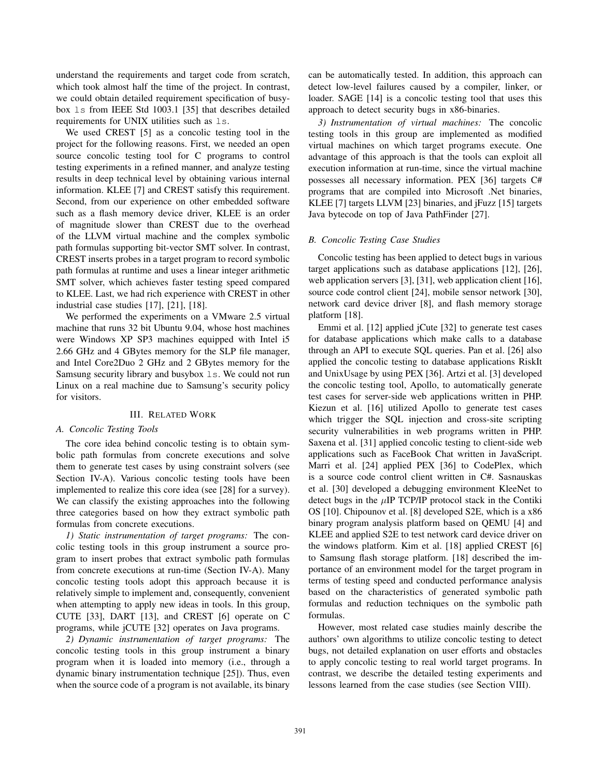understand the requirements and target code from scratch, which took almost half the time of the project. In contrast, we could obtain detailed requirement specification of busybox ls from IEEE Std 1003.1 [35] that describes detailed requirements for UNIX utilities such as ls.

We used CREST [5] as a concolic testing tool in the project for the following reasons. First, we needed an open source concolic testing tool for C programs to control testing experiments in a refined manner, and analyze testing results in deep technical level by obtaining various internal information. KLEE [7] and CREST satisfy this requirement. Second, from our experience on other embedded software such as a flash memory device driver, KLEE is an order of magnitude slower than CREST due to the overhead of the LLVM virtual machine and the complex symbolic path formulas supporting bit-vector SMT solver. In contrast, CREST inserts probes in a target program to record symbolic path formulas at runtime and uses a linear integer arithmetic SMT solver, which achieves faster testing speed compared to KLEE. Last, we had rich experience with CREST in other industrial case studies [17], [21], [18].

We performed the experiments on a VMware 2.5 virtual machine that runs 32 bit Ubuntu 9.04, whose host machines were Windows XP SP3 machines equipped with Intel i5 2.66 GHz and 4 GBytes memory for the SLP file manager, and Intel Core2Duo 2 GHz and 2 GBytes memory for the Samsung security library and busybox  $\text{ls.}$  We could not run Linux on a real machine due to Samsung's security policy for visitors.

## III. RELATED WORK

#### *A. Concolic Testing Tools*

The core idea behind concolic testing is to obtain symbolic path formulas from concrete executions and solve them to generate test cases by using constraint solvers (see Section IV-A). Various concolic testing tools have been implemented to realize this core idea (see [28] for a survey). We can classify the existing approaches into the following three categories based on how they extract symbolic path formulas from concrete executions.

*1) Static instrumentation of target programs:* The concolic testing tools in this group instrument a source program to insert probes that extract symbolic path formulas from concrete executions at run-time (Section IV-A). Many concolic testing tools adopt this approach because it is relatively simple to implement and, consequently, convenient when attempting to apply new ideas in tools. In this group, CUTE [33], DART [13], and CREST [6] operate on C programs, while jCUTE [32] operates on Java programs.

*2) Dynamic instrumentation of target programs:* The concolic testing tools in this group instrument a binary program when it is loaded into memory (i.e., through a dynamic binary instrumentation technique [25]). Thus, even when the source code of a program is not available, its binary

can be automatically tested. In addition, this approach can detect low-level failures caused by a compiler, linker, or loader. SAGE [14] is a concolic testing tool that uses this approach to detect security bugs in x86-binaries.

*3) Instrumentation of virtual machines:* The concolic testing tools in this group are implemented as modified virtual machines on which target programs execute. One advantage of this approach is that the tools can exploit all execution information at run-time, since the virtual machine possesses all necessary information. PEX [36] targets C# programs that are compiled into Microsoft .Net binaries, KLEE [7] targets LLVM [23] binaries, and jFuzz [15] targets Java bytecode on top of Java PathFinder [27].

#### *B. Concolic Testing Case Studies*

Concolic testing has been applied to detect bugs in various target applications such as database applications [12], [26], web application servers [3], [31], web application client [16], source code control client [24], mobile sensor network [30], network card device driver [8], and flash memory storage platform [18].

Emmi et al. [12] applied jCute [32] to generate test cases for database applications which make calls to a database through an API to execute SQL queries. Pan et al. [26] also applied the concolic testing to database applications RiskIt and UnixUsage by using PEX [36]. Artzi et al. [3] developed the concolic testing tool, Apollo, to automatically generate test cases for server-side web applications written in PHP. Kiezun et al. [16] utilized Apollo to generate test cases which trigger the SQL injection and cross-site scripting security vulnerabilities in web programs written in PHP. Saxena et al. [31] applied concolic testing to client-side web applications such as FaceBook Chat written in JavaScript. Marri et al. [24] applied PEX [36] to CodePlex, which is a source code control client written in C#. Sasnauskas et al. [30] developed a debugging environment KleeNet to detect bugs in the  $\mu$ IP TCP/IP protocol stack in the Contiki OS [10]. Chipounov et al. [8] developed S2E, which is a x86 binary program analysis platform based on QEMU [4] and KLEE and applied S2E to test network card device driver on the windows platform. Kim et al. [18] applied CREST [6] to Samsung flash storage platform. [18] described the importance of an environment model for the target program in terms of testing speed and conducted performance analysis based on the characteristics of generated symbolic path formulas and reduction techniques on the symbolic path formulas.

However, most related case studies mainly describe the authors' own algorithms to utilize concolic testing to detect bugs, not detailed explanation on user efforts and obstacles to apply concolic testing to real world target programs. In contrast, we describe the detailed testing experiments and lessons learned from the case studies (see Section VIII).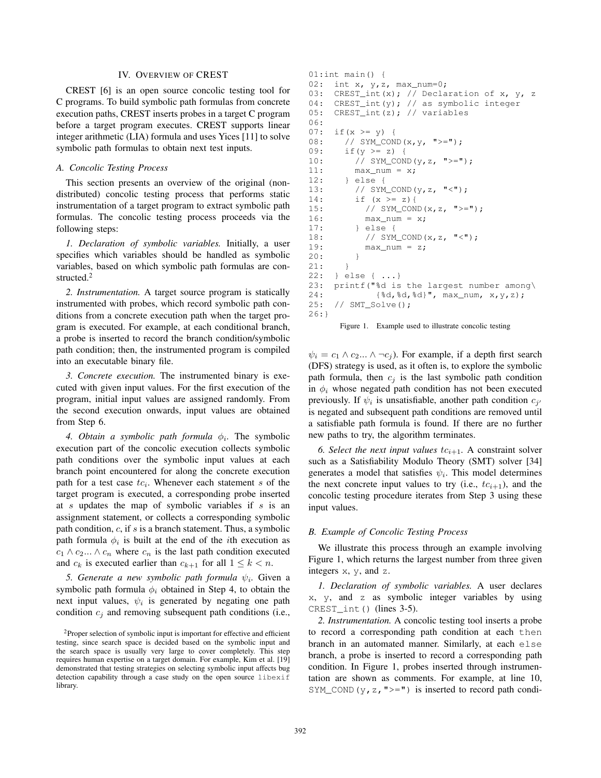## IV. OVERVIEW OF CREST

CREST [6] is an open source concolic testing tool for C programs. To build symbolic path formulas from concrete execution paths, CREST inserts probes in a target C program before a target program executes. CREST supports linear integer arithmetic (LIA) formula and uses Yices [11] to solve symbolic path formulas to obtain next test inputs.

### *A. Concolic Testing Process*

This section presents an overview of the original (nondistributed) concolic testing process that performs static instrumentation of a target program to extract symbolic path formulas. The concolic testing process proceeds via the following steps:

*1. Declaration of symbolic variables.* Initially, a user specifies which variables should be handled as symbolic variables, based on which symbolic path formulas are constructed.<sup>2</sup>

*2. Instrumentation.* A target source program is statically instrumented with probes, which record symbolic path conditions from a concrete execution path when the target program is executed. For example, at each conditional branch, a probe is inserted to record the branch condition/symbolic path condition; then, the instrumented program is compiled into an executable binary file.

*3. Concrete execution.* The instrumented binary is executed with given input values. For the first execution of the program, initial input values are assigned randomly. From the second execution onwards, input values are obtained from Step 6.

*4. Obtain a symbolic path formula*  $\phi_i$ . The symbolic execution part of the concolic execution collects symbolic path conditions over the symbolic input values at each branch point encountered for along the concrete execution path for a test case  $tc_i$ . Whenever each statement s of the target program is executed, a corresponding probe inserted at s updates the map of symbolic variables if s is an assignment statement, or collects a corresponding symbolic path condition,  $c$ , if  $s$  is a branch statement. Thus, a symbolic path formula  $\phi_i$  is built at the end of the *i*th execution as  $c_1 \wedge c_2 ... \wedge c_n$  where  $c_n$  is the last path condition executed and  $c_k$  is executed earlier than  $c_{k+1}$  for all  $1 \leq k < n$ .

*5. Generate a new symbolic path formula*  $\psi_i$ . Given a symbolic path formula  $\phi_i$  obtained in Step 4, to obtain the next input values,  $\psi_i$  is generated by negating one path condition  $c_i$  and removing subsequent path conditions (i.e.,

```
01:int main() {
02: int x, y, z, max\_num=0;
03: CREST_int(x); // Declaration of x, y, z
04: CREST_int(y); // as symbolic integer
05: CREST_int(z); // variables
06:
07: if (x \ge y) {
08: // SYM_COND(x, y, ">=");
09: if (y \ge z) {
10: // SYM\_COND(y, z, ">=");
11: max_num = x;
12: } else {
13: // SYM_COND(y, z, "<-");
14: if (x \ge z) {
15: // SYM_COND(x, z, ">=");
16: max_num = x;
17: } else {
18: // SYM_COND(x, z, "<");
19: max\_num = z;20: }
21: }
22: } else { ...}
23: printf("%d is the largest number among\
24: {%d,%d,%d}", max_num, x,y,z);
25: // SMT_Solve();
26:}
```


 $\psi_i = c_1 \wedge c_2 ... \wedge \neg c_i$ . For example, if a depth first search (DFS) strategy is used, as it often is, to explore the symbolic path formula, then  $c_i$  is the last symbolic path condition in  $\phi_i$  whose negated path condition has not been executed previously. If  $\psi_i$  is unsatisfiable, another path condition  $c_{j'}$ is negated and subsequent path conditions are removed until a satisfiable path formula is found. If there are no further new paths to try, the algorithm terminates.

6. Select the next input values  $tc_{i+1}$ . A constraint solver such as a Satisfiability Modulo Theory (SMT) solver [34] generates a model that satisfies  $\psi_i$ . This model determines the next concrete input values to try (i.e.,  $tc_{i+1}$ ), and the concolic testing procedure iterates from Step 3 using these input values.

### *B. Example of Concolic Testing Process*

We illustrate this process through an example involving Figure 1, which returns the largest number from three given integers x, y, and z.

*1. Declaration of symbolic variables.* A user declares x, y, and z as symbolic integer variables by using CREST\_int() (lines 3-5).

*2. Instrumentation.* A concolic testing tool inserts a probe to record a corresponding path condition at each then branch in an automated manner. Similarly, at each else branch, a probe is inserted to record a corresponding path condition. In Figure 1, probes inserted through instrumentation are shown as comments. For example, at line 10, SYM\_COND( $y, z,$ ">=") is inserted to record path condi-

<sup>2</sup>Proper selection of symbolic input is important for effective and efficient testing, since search space is decided based on the symbolic input and the search space is usually very large to cover completely. This step requires human expertise on a target domain. For example, Kim et al. [19] demonstrated that testing strategies on selecting symbolic input affects bug detection capability through a case study on the open source libexif library.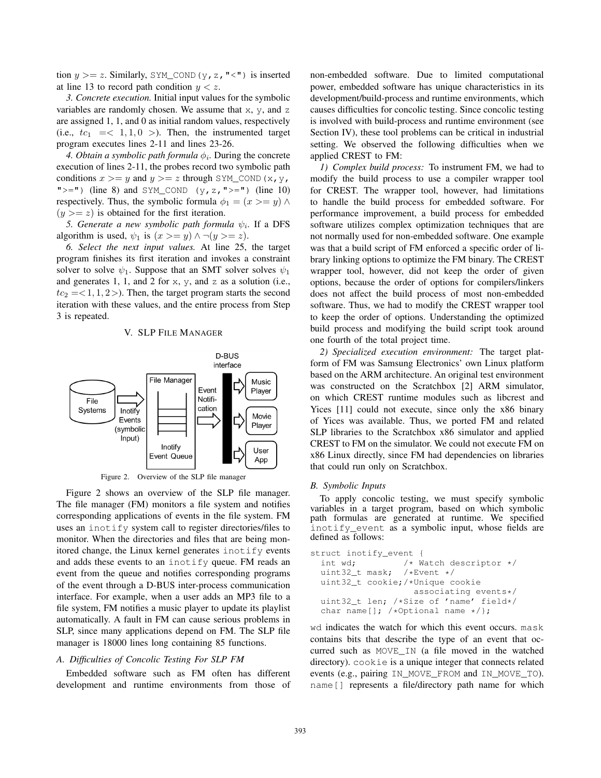tion  $y \ge z$ . Similarly, SYM\_COND(y, z, "<") is inserted at line 13 to record path condition  $y < z$ .

*3. Concrete execution.* Initial input values for the symbolic variables are randomly chosen. We assume that  $x$ ,  $y$ , and  $z$ are assigned 1, 1, and 0 as initial random values, respectively (i.e.,  $tc_1 = < 1, 1, 0 >$ ). Then, the instrumented target program executes lines 2-11 and lines 23-26.

*4. Obtain a symbolic path formula*  $\phi_i$ . During the concrete execution of lines 2-11, the probes record two symbolic path conditions  $x \ge y$  and  $y \ge z$  through SYM\_COND(x, y, " $>=$ ") (line 8) and SYM\_COND (y, z, " $>=$ ") (line 10) respectively. Thus, the symbolic formula  $\phi_1 = (x \geq y) \land$  $(y \geq z)$  is obtained for the first iteration.

*5. Generate a new symbolic path formula*  $\psi_i$ . If a DFS algorithm is used,  $\psi_1$  is  $(x \ge y) \land \neg(y \ge z)$ .

*6. Select the next input values.* At line 25, the target program finishes its first iteration and invokes a constraint solver to solve  $\psi_1$ . Suppose that an SMT solver solves  $\psi_1$ and generates 1, 1, and 2 for x, y, and z as a solution (i.e.,  $tc_2 = <1, 1, 2>$ . Then, the target program starts the second iteration with these values, and the entire process from Step 3 is repeated.

V. SLP FILE MANAGER





Figure 2 shows an overview of the SLP file manager. The file manager (FM) monitors a file system and notifies corresponding applications of events in the file system. FM uses an inotify system call to register directories/files to monitor. When the directories and files that are being monitored change, the Linux kernel generates inotify events and adds these events to an inotify queue. FM reads an event from the queue and notifies corresponding programs of the event through a D-BUS inter-process communication interface. For example, when a user adds an MP3 file to a file system, FM notifies a music player to update its playlist automatically. A fault in FM can cause serious problems in SLP, since many applications depend on FM. The SLP file manager is 18000 lines long containing 85 functions.

## *A. Difficulties of Concolic Testing For SLP FM*

Embedded software such as FM often has different development and runtime environments from those of non-embedded software. Due to limited computational power, embedded software has unique characteristics in its development/build-process and runtime environments, which causes difficulties for concolic testing. Since concolic testing is involved with build-process and runtime environment (see Section IV), these tool problems can be critical in industrial setting. We observed the following difficulties when we applied CREST to FM:

*1) Complex build process:* To instrument FM, we had to modify the build process to use a compiler wrapper tool for CREST. The wrapper tool, however, had limitations to handle the build process for embedded software. For performance improvement, a build process for embedded software utilizes complex optimization techniques that are not normally used for non-embedded software. One example was that a build script of FM enforced a specific order of library linking options to optimize the FM binary. The CREST wrapper tool, however, did not keep the order of given options, because the order of options for compilers/linkers does not affect the build process of most non-embedded software. Thus, we had to modify the CREST wrapper tool to keep the order of options. Understanding the optimized build process and modifying the build script took around one fourth of the total project time.

*2) Specialized execution environment:* The target platform of FM was Samsung Electronics' own Linux platform based on the ARM architecture. An original test environment was constructed on the Scratchbox [2] ARM simulator, on which CREST runtime modules such as libcrest and Yices [11] could not execute, since only the x86 binary of Yices was available. Thus, we ported FM and related SLP libraries to the Scratchbox x86 simulator and applied CREST to FM on the simulator. We could not execute FM on x86 Linux directly, since FM had dependencies on libraries that could run only on Scratchbox.

#### *B. Symbolic Inputs*

To apply concolic testing, we must specify symbolic variables in a target program, based on which symbolic path formulas are generated at runtime. We specified inotify\_event as a symbolic input, whose fields are defined as follows:

```
struct inotify_event {
  int wd; \frac{1}{x} /* Watch descriptor */<br>uint32_t mask; /*Event */
  uint32_t mask;
  uint32_t cookie;/*Unique cookie
                        associating events*/
  uint32_t len; /*Size of 'name' field*/
  char name[]; /\starOptional name \star/};
```
wd indicates the watch for which this event occurs. mask contains bits that describe the type of an event that occurred such as MOVE\_IN (a file moved in the watched directory). cookie is a unique integer that connects related events (e.g., pairing IN\_MOVE\_FROM and IN\_MOVE\_TO). name[] represents a file/directory path name for which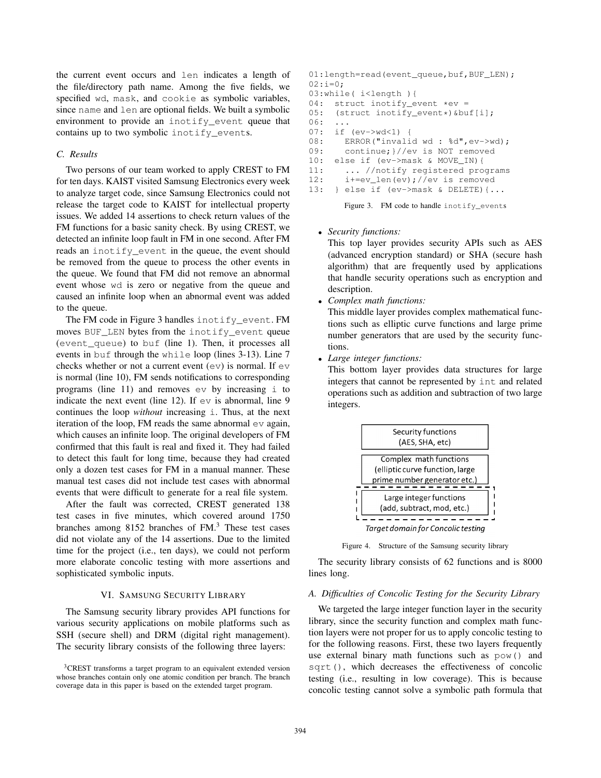the current event occurs and len indicates a length of the file/directory path name. Among the five fields, we specified wd, mask, and cookie as symbolic variables, since name and len are optional fields. We built a symbolic environment to provide an inotify\_event queue that contains up to two symbolic inotify events.

## *C. Results*

Two persons of our team worked to apply CREST to FM for ten days. KAIST visited Samsung Electronics every week to analyze target code, since Samsung Electronics could not release the target code to KAIST for intellectual property issues. We added 14 assertions to check return values of the FM functions for a basic sanity check. By using CREST, we detected an infinite loop fault in FM in one second. After FM reads an inotify\_event in the queue, the event should be removed from the queue to process the other events in the queue. We found that FM did not remove an abnormal event whose wd is zero or negative from the queue and caused an infinite loop when an abnormal event was added to the queue.

The FM code in Figure 3 handles inotify\_event. FM moves BUF LEN bytes from the inotify event queue (event\_queue) to buf (line 1). Then, it processes all events in buf through the while loop (lines 3-13). Line 7 checks whether or not a current event  $(ev)$  is normal. If  $ev$ is normal (line 10), FM sends notifications to corresponding programs (line 11) and removes  $ev$  by increasing  $\pm$  to indicate the next event (line 12). If  $ev$  is abnormal, line 9 continues the loop *without* increasing i. Thus, at the next iteration of the loop, FM reads the same abnormal  $ev$  again, which causes an infinite loop. The original developers of FM confirmed that this fault is real and fixed it. They had failed to detect this fault for long time, because they had created only a dozen test cases for FM in a manual manner. These manual test cases did not include test cases with abnormal events that were difficult to generate for a real file system.

After the fault was corrected, CREST generated 138 test cases in five minutes, which covered around 1750 branches among  $8152$  branches of  $FM<sup>3</sup>$ . These test cases did not violate any of the 14 assertions. Due to the limited time for the project (i.e., ten days), we could not perform more elaborate concolic testing with more assertions and sophisticated symbolic inputs.

## VI. SAMSUNG SECURITY LIBRARY

The Samsung security library provides API functions for various security applications on mobile platforms such as SSH (secure shell) and DRM (digital right management). The security library consists of the following three layers:

```
01:length=read(event_queue,buf,BUF_LEN);
02:i=0;03:while( i<length ){
04: struct inotify_event *ev =<br>05: (struct inotify event*)&bu
     05: (struct inotify_event*)&buf[i];
06:07: if (ev->wd<1) {
08: ERROR("invalid wd : %d", ev->wd);<br>09: continue;}//ev is NOT removed
        continue; }//ev is NOT removed
10: else if (ev->mask & MOVE_IN){
11: ... //notify registered programs
12: i+=ev_len(ev);//ev is removed
13: } else if (ev->mask & DELETE){...
```
Figure 3. FM code to handle inotify\_events

• *Security functions:*

This top layer provides security APIs such as AES (advanced encryption standard) or SHA (secure hash algorithm) that are frequently used by applications that handle security operations such as encryption and description.

• *Complex math functions:*

This middle layer provides complex mathematical functions such as elliptic curve functions and large prime number generators that are used by the security functions.

• *Large integer functions:*

This bottom layer provides data structures for large integers that cannot be represented by int and related operations such as addition and subtraction of two large integers.



Figure 4. Structure of the Samsung security library

The security library consists of 62 functions and is 8000 lines long.

#### *A. Difficulties of Concolic Testing for the Security Library*

We targeted the large integer function layer in the security library, since the security function and complex math function layers were not proper for us to apply concolic testing to for the following reasons. First, these two layers frequently use external binary math functions such as pow() and sqrt(), which decreases the effectiveness of concolic testing (i.e., resulting in low coverage). This is because concolic testing cannot solve a symbolic path formula that

<sup>3</sup>CREST transforms a target program to an equivalent extended version whose branches contain only one atomic condition per branch. The branch coverage data in this paper is based on the extended target program.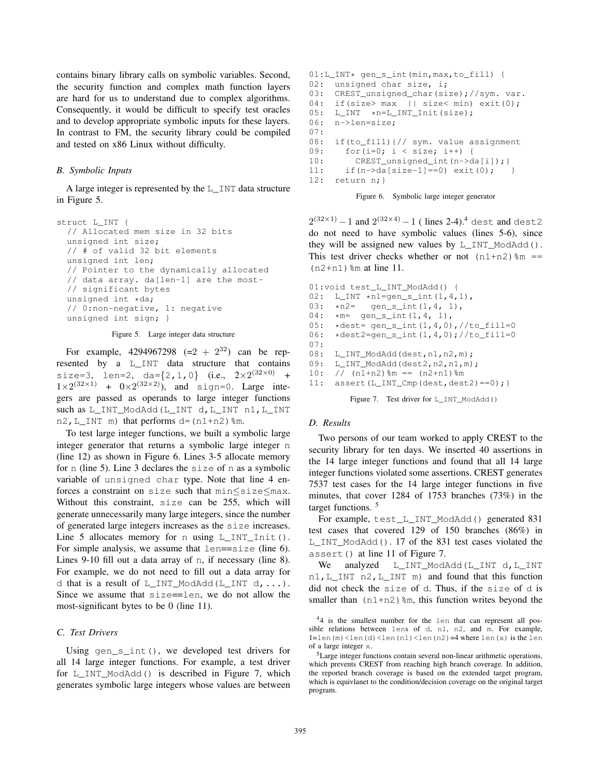contains binary library calls on symbolic variables. Second, the security function and complex math function layers are hard for us to understand due to complex algorithms. Consequently, it would be difficult to specify test oracles and to develop appropriate symbolic inputs for these layers. In contrast to FM, the security library could be compiled and tested on x86 Linux without difficulty.

#### *B. Symbolic Inputs*

A large integer is represented by the L\_INT data structure in Figure 5.

```
struct L_INT {
  // Allocated mem size in 32 bits
  unsigned int size;
  // # of valid 32 bit elements
  unsigned int len;
  // Pointer to the dynamically allocated
  // data array. da[len-1] are the most-
  // significant bytes
  unsigned int *da;// 0:non-negative, 1: negative
  unsigned int sign; }
```
Figure 5. Large integer data structure

For example, 4294967298  $(=2 + 2^{32})$  can be represented by a L\_INT data structure that contains size=3, len=2, da= $\{2, 1, 0\}$  (i.e.,  $2 \times 2^{(32 \times 0)}$  +  $1\times2^{(32\times1)}$  +  $0\times2^{(32\times2)}$ , and sign=0. Large integers are passed as operands to large integer functions such as L\_INT\_ModAdd(L\_INT d,L\_INT n1,L\_INT n2, L\_INT m) that performs  $d = (n1+n2)$   $m$ .

To test large integer functions, we built a symbolic large integer generator that returns a symbolic large integer n (line 12) as shown in Figure 6. Lines 3-5 allocate memory for n (line 5). Line 3 declares the size of n as a symbolic variable of unsigned char type. Note that line 4 enforces a constraint on size such that min≤size≤max. Without this constraint, size can be 255, which will generate unnecessarily many large integers, since the number of generated large integers increases as the size increases. Line 5 allocates memory for n using  $L$ \_INT\_Init(). For simple analysis, we assume that  $l$ en==size (line 6). Lines 9-10 fill out a data array of n, if necessary (line 8). For example, we do not need to fill out a data array for d that is a result of L\_INT\_ModAdd(L\_INT d,...). Since we assume that size==len, we do not allow the most-significant bytes to be 0 (line 11).

## *C. Test Drivers*

Using gen  $s$  int(), we developed test drivers for all 14 large integer functions. For example, a test driver for L\_INT\_ModAdd() is described in Figure 7, which generates symbolic large integers whose values are between

```
01:L_INT* gen_s_int(min,max,to_fill) {
02: unsigned char size, i;
03: CREST_unsigned_char(size);//sym. var.
04: if(size> max || size< min) exit(0);
05: L_INT *n=L_INT_Init(size);
06: n->len=size;
07:
08: if(to_fill){// sym. value assignment
09: for(i=0; i < size; i++) {
10: CREST_unsigned_int(n->da[i]); }
11: if(n->da[size-1]==0) exit(0); }
12: return n;}
```


 $2^{(32\times1)} - 1$  and  $2^{(32\times4)} - 1$  (lines 2-4).<sup>4</sup> dest and dest2 do not need to have symbolic values (lines 5-6), since they will be assigned new values by  $L$ \_INT\_ModAdd(). This test driver checks whether or not  $(n1+n2)$   $\text{\textsterling m} =$  $(n2+n1)$   $\text{\%m}$  at line 11.

```
01:void test_L_INT_ModAdd() {
02: L_INT \starn1=gen_s_int(1,4,1),<br>03: \starn2= gen_s_int(1,4, 1),
03: \angle n2 = \text{gen\_s\_int}(1, 4, 1),<br>04: \angle \angle m = \text{gen\_s\_int}(1, 4, 1),04: \starm= gen_s_int(1,4, 1),<br>05: \stardest= gen_s_int(1,4,0)
05: \star dest= gen_s_int(1,4,0),//to_fill=0<br>06: \star dest2=gen_s_int(1,4,0);//to_fill=0
        \star dest2=gen_s_int(1,4,0);//to_fill=0
07:
08: L_INT_ModAdd(dest,n1,n2,m);<br>09: L INT ModAdd(dest2,n2,n1,m)
        L_INT_ModAdd(dest2,n2,n1,m);
10: // (n1+n2) \text{\%m} == (n2+n1) \text{\%m}11: assert (L_INT_Cmp(det, dest2) == 0);Figure 7. Test driver for L_INT_ModAdd()
```
### *D. Results*

Two persons of our team worked to apply CREST to the security library for ten days. We inserted 40 assertions in the 14 large integer functions and found that all 14 large integer functions violated some assertions. CREST generates 7537 test cases for the 14 large integer functions in five minutes, that cover 1284 of 1753 branches (73%) in the target functions.<sup>5</sup>

For example, test\_L\_INT\_ModAdd() generated 831 test cases that covered 129 of 150 branches (86%) in L INT ModAdd(). 17 of the 831 test cases violated the assert() at line 11 of Figure 7.

We analyzed L\_INT\_ModAdd(L\_INT d, L\_INT n1,L\_INT n2,L\_INT m) and found that this function did not check the size of d. Thus, if the size of d is smaller than  $(n1+n2)$  %m, this function writes beyond the

<sup>44</sup> is the smallest number for the len that can represent all possible relations between lens of d, n1, n2, and m. For example,  $l=len(m)$ <len(d)<len(n1)<len(n2)=4 where  $len(x)$  is the  $len$ of a large integer x.

<sup>&</sup>lt;sup>5</sup>Large integer functions contain several non-linear arithmetic operations, which prevents CREST from reaching high branch coverage. In addition, the reported branch coverage is based on the extended target program, which is equivlanet to the condition/decision coverage on the original target program.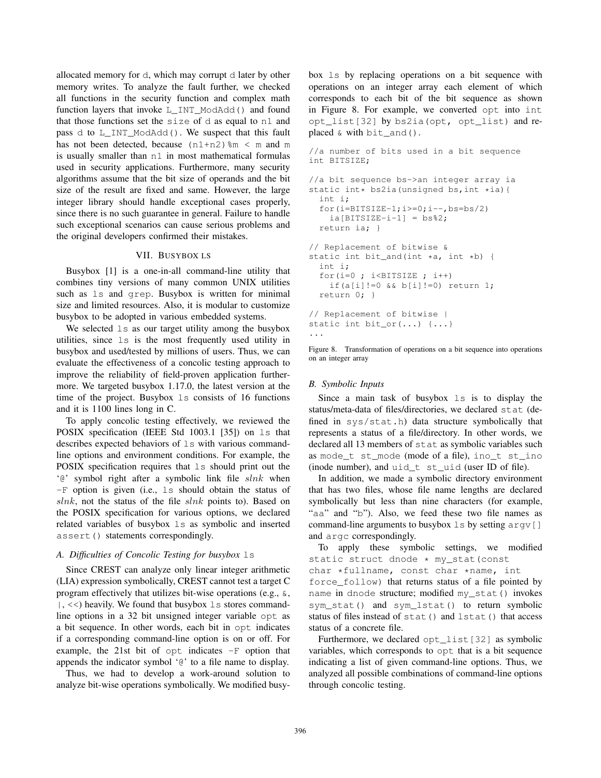allocated memory for d, which may corrupt d later by other memory writes. To analyze the fault further, we checked all functions in the security function and complex math function layers that invoke L\_INT\_ModAdd() and found that those functions set the  $size$  of d as equal to n1 and pass d to L\_INT\_ModAdd(). We suspect that this fault has not been detected, because  $(n1+n2)$   $\text{km} < \text{m}$  and m is usually smaller than n1 in most mathematical formulas used in security applications. Furthermore, many security algorithms assume that the bit size of operands and the bit size of the result are fixed and same. However, the large integer library should handle exceptional cases properly, since there is no such guarantee in general. Failure to handle such exceptional scenarios can cause serious problems and the original developers confirmed their mistakes.

## VII. BUSYBOX LS

Busybox [1] is a one-in-all command-line utility that combines tiny versions of many common UNIX utilities such as ls and grep. Busybox is written for minimal size and limited resources. Also, it is modular to customize busybox to be adopted in various embedded systems.

We selected  $\perp$ s as our target utility among the busybox utilities, since ls is the most frequently used utility in busybox and used/tested by millions of users. Thus, we can evaluate the effectiveness of a concolic testing approach to improve the reliability of field-proven application furthermore. We targeted busybox 1.17.0, the latest version at the time of the project. Busybox ls consists of 16 functions and it is 1100 lines long in C.

To apply concolic testing effectively, we reviewed the POSIX specification (IEEE Std 1003.1 [35]) on ls that describes expected behaviors of ls with various commandline options and environment conditions. For example, the POSIX specification requires that ls should print out the ' $e'$ ' symbol right after a symbolic link file slnk when -F option is given (i.e., ls should obtain the status of  $slnk$ , not the status of the file  $slnk$  points to). Based on the POSIX specification for various options, we declared related variables of busybox ls as symbolic and inserted assert() statements correspondingly.

#### *A. Difficulties of Concolic Testing for busybox* ls

Since CREST can analyze only linear integer arithmetic (LIA) expression symbolically, CREST cannot test a target C program effectively that utilizes bit-wise operations (e.g., &,  $|, \ll$ ) heavily. We found that busybox  $\perp$  s stores commandline options in a 32 bit unsigned integer variable opt as a bit sequence. In other words, each bit in opt indicates if a corresponding command-line option is on or off. For example, the 21st bit of  $opt$  indicates  $-F$  option that appends the indicator symbol '@' to a file name to display.

Thus, we had to develop a work-around solution to analyze bit-wise operations symbolically. We modified busybox ls by replacing operations on a bit sequence with operations on an integer array each element of which corresponds to each bit of the bit sequence as shown in Figure 8. For example, we converted opt into int opt\_list[32] by bs2ia(opt, opt\_list) and replaced  $\&$  with bit and().

```
//a number of bits used in a bit sequence
int BITSIZE;
//a bit sequence bs->an integer array ia
static int* bs2ia(unsigned bs, int *ia){
  int i;
  for(i=BITSIZE-1; i>=0; i--, bs=bs/2)
   ia[BITSIZE-i-1] = bs%2;
  return ia; }
// Replacement of bitwise &
static int bit_and(int *a, int *b) {
  int i;
  for(i=0; i<BITSIZE; i+1if(a[i]!=0 & 6  b[i]!=0) return 1;
  return 0; }
// Replacement of bitwise |
static int bit_or(...) {...}
...
```
Figure 8. Transformation of operations on a bit sequence into operations on an integer array

#### *B. Symbolic Inputs*

Since a main task of busybox ls is to display the status/meta-data of files/directories, we declared stat (defined in sys/stat.h) data structure symbolically that represents a status of a file/directory. In other words, we declared all 13 members of stat as symbolic variables such as mode t st mode (mode of a file), ino t st ino (inode number), and uid\_t st\_uid (user ID of file).

In addition, we made a symbolic directory environment that has two files, whose file name lengths are declared symbolically but less than nine characters (for example, "aa" and "b"). Also, we feed these two file names as command-line arguments to busybox ls by setting argv[] and argc correspondingly.

```
To apply these symbolic settings, we modified
static struct dnode * my_stat(const
char *fullname, const char *name, int
```
force\_follow) that returns status of a file pointed by name in dnode structure; modified my\_stat() invokes sym\_stat() and sym\_lstat() to return symbolic status of files instead of stat() and lstat() that access status of a concrete file.

Furthermore, we declared opt\_list[32] as symbolic variables, which corresponds to opt that is a bit sequence indicating a list of given command-line options. Thus, we analyzed all possible combinations of command-line options through concolic testing.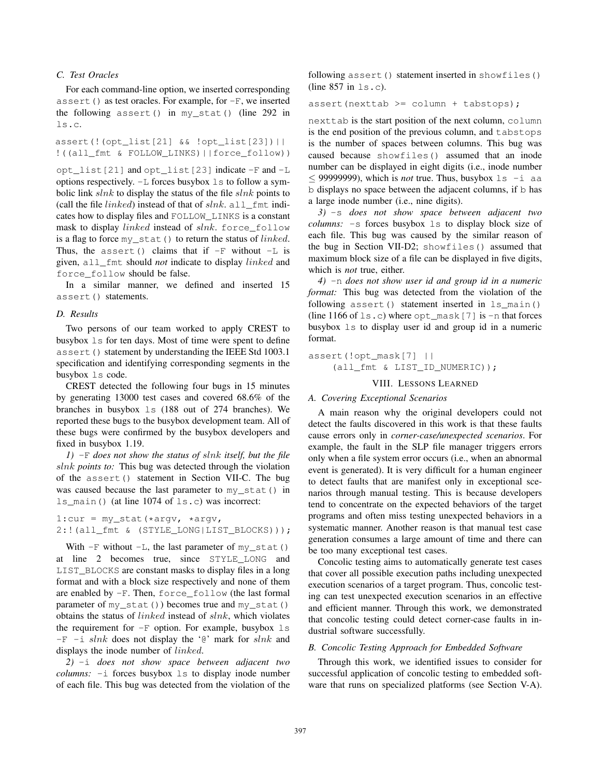# *C. Test Oracles*

For each command-line option, we inserted corresponding assert() as test oracles. For example, for  $-F$ , we inserted the following assert() in my\_stat() (line 292 in ls.c.

assert(!(opt\_list[21] && !opt\_list[23])|| !((all\_fmt & FOLLOW\_LINKS)||force\_follow))

opt\_list[21] and opt\_list[23] indicate -F and -L options respectively.  $-L$  forces busybox  $L$ s to follow a symbolic link  $slnk$  to display the status of the file  $slnk$  points to (call the file *linked*) instead of that of  $slnk$ . all\_fmt indicates how to display files and FOLLOW\_LINKS is a constant mask to display linked instead of slnk. force\_follow is a flag to force  $my\_stat$  () to return the status of *linked*. Thus, the assert() claims that if  $-F$  without  $-L$  is given, all\_fmt should *not* indicate to display linked and force\_follow should be false.

In a similar manner, we defined and inserted 15 assert() statements.

### *D. Results*

Two persons of our team worked to apply CREST to busybox ls for ten days. Most of time were spent to define assert() statement by understanding the IEEE Std 1003.1 specification and identifying corresponding segments in the busybox ls code.

CREST detected the following four bugs in 15 minutes by generating 13000 test cases and covered 68.6% of the branches in busybox ls (188 out of 274 branches). We reported these bugs to the busybox development team. All of these bugs were confirmed by the busybox developers and fixed in busybox 1.19.

*1)* -F *does not show the status of* slnk *itself, but the file* slnk *points to:* This bug was detected through the violation of the assert() statement in Section VII-C. The bug was caused because the last parameter to my\_stat() in ls\_main() (at line 1074 of ls.c) was incorrect:

1:cur = my\_stat(\*argv, \*argv, 2:!(all\_fmt & (STYLE\_LONG|LIST\_BLOCKS)));

With  $-F$  without  $-L$ , the last parameter of my stat() at line 2 becomes true, since STYLE\_LONG and LIST\_BLOCKS are constant masks to display files in a long format and with a block size respectively and none of them are enabled by -F. Then, force\_follow (the last formal parameter of my\_stat()) becomes true and my\_stat() obtains the status of linked instead of slnk, which violates the requirement for  $-F$  option. For example, busybox  $1s$  $-F$  -i slnk does not display the ' $\mathfrak{g}'$  mark for slnk and displays the inode number of *linked*.

*2)* -i *does not show space between adjacent two columns:* -i forces busybox ls to display inode number of each file. This bug was detected from the violation of the

following assert() statement inserted in showfiles() (line 857 in ls.c).

assert(nexttab >= column + tabstops);

nexttab is the start position of the next column, column is the end position of the previous column, and tabstops is the number of spaces between columns. This bug was caused because showfiles() assumed that an inode number can be displayed in eight digits (i.e., inode number ≤ 999999999), which is *not* true. Thus, busybox  $ls -i$  aa b displays no space between the adjacent columns, if b has a large inode number (i.e., nine digits).

*3)* -s *does not show space between adjacent two columns:* -s forces busybox ls to display block size of each file. This bug was caused by the similar reason of the bug in Section VII-D2; showfiles() assumed that maximum block size of a file can be displayed in five digits, which is *not* true, either.

*4)* -n *does not show user id and group id in a numeric format:* This bug was detected from the violation of the following assert() statement inserted in  $ls$  main() (line 1166 of  $ls.c$ ) where  $opt\_mask[7]$  is  $-n$  that forces busybox ls to display user id and group id in a numeric format.

assert(!opt\_mask[7] || (all\_fmt & LIST\_ID\_NUMERIC));

# VIII. LESSONS LEARNED

#### *A. Covering Exceptional Scenarios*

A main reason why the original developers could not detect the faults discovered in this work is that these faults cause errors only in *corner-case/unexpected scenarios*. For example, the fault in the SLP file manager triggers errors only when a file system error occurs (i.e., when an abnormal event is generated). It is very difficult for a human engineer to detect faults that are manifest only in exceptional scenarios through manual testing. This is because developers tend to concentrate on the expected behaviors of the target programs and often miss testing unexpected behaviors in a systematic manner. Another reason is that manual test case generation consumes a large amount of time and there can be too many exceptional test cases.

Concolic testing aims to automatically generate test cases that cover all possible execution paths including unexpected execution scenarios of a target program. Thus, concolic testing can test unexpected execution scenarios in an effective and efficient manner. Through this work, we demonstrated that concolic testing could detect corner-case faults in industrial software successfully.

#### *B. Concolic Testing Approach for Embedded Software*

Through this work, we identified issues to consider for successful application of concolic testing to embedded software that runs on specialized platforms (see Section V-A).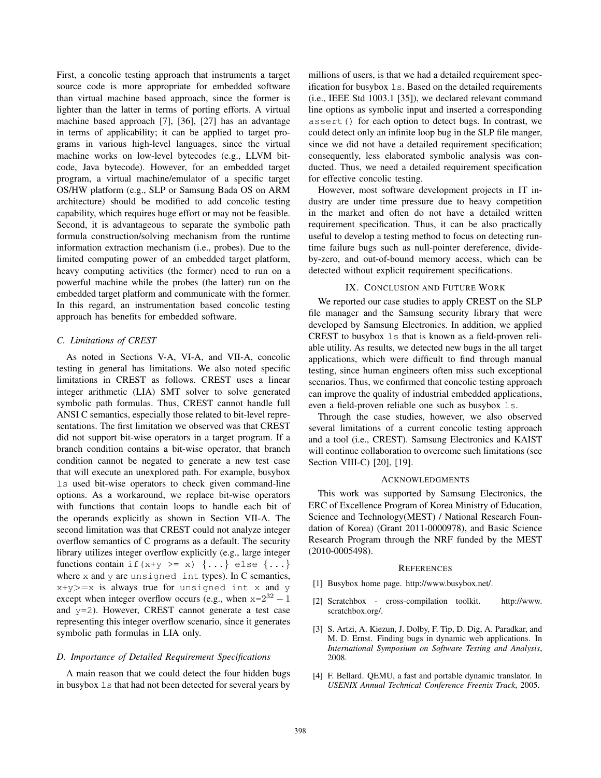First, a concolic testing approach that instruments a target source code is more appropriate for embedded software than virtual machine based approach, since the former is lighter than the latter in terms of porting efforts. A virtual machine based approach [7], [36], [27] has an advantage in terms of applicability; it can be applied to target programs in various high-level languages, since the virtual machine works on low-level bytecodes (e.g., LLVM bitcode, Java bytecode). However, for an embedded target program, a virtual machine/emulator of a specific target OS/HW platform (e.g., SLP or Samsung Bada OS on ARM architecture) should be modified to add concolic testing capability, which requires huge effort or may not be feasible. Second, it is advantageous to separate the symbolic path formula construction/solving mechanism from the runtime information extraction mechanism (i.e., probes). Due to the limited computing power of an embedded target platform, heavy computing activities (the former) need to run on a powerful machine while the probes (the latter) run on the embedded target platform and communicate with the former. In this regard, an instrumentation based concolic testing approach has benefits for embedded software.

# *C. Limitations of CREST*

As noted in Sections V-A, VI-A, and VII-A, concolic testing in general has limitations. We also noted specific limitations in CREST as follows. CREST uses a linear integer arithmetic (LIA) SMT solver to solve generated symbolic path formulas. Thus, CREST cannot handle full ANSI C semantics, especially those related to bit-level representations. The first limitation we observed was that CREST did not support bit-wise operators in a target program. If a branch condition contains a bit-wise operator, that branch condition cannot be negated to generate a new test case that will execute an unexplored path. For example, busybox ls used bit-wise operators to check given command-line options. As a workaround, we replace bit-wise operators with functions that contain loops to handle each bit of the operands explicitly as shown in Section VII-A. The second limitation was that CREST could not analyze integer overflow semantics of C programs as a default. The security library utilizes integer overflow explicitly (e.g., large integer functions contain if  $(x+y \ge x)$   $\{ \ldots \}$  else  $\{ \ldots \}$ where  $x$  and  $y$  are unsigned int types). In  $C$  semantics,  $x+y>=x$  is always true for unsigned int x and y except when integer overflow occurs (e.g., when  $x=2^{32} - 1$ and  $y=2$ ). However, CREST cannot generate a test case representing this integer overflow scenario, since it generates symbolic path formulas in LIA only.

#### *D. Importance of Detailed Requirement Specifications*

A main reason that we could detect the four hidden bugs in busybox ls that had not been detected for several years by millions of users, is that we had a detailed requirement specification for busybox ls. Based on the detailed requirements (i.e., IEEE Std 1003.1 [35]), we declared relevant command line options as symbolic input and inserted a corresponding assert() for each option to detect bugs. In contrast, we could detect only an infinite loop bug in the SLP file manger, since we did not have a detailed requirement specification; consequently, less elaborated symbolic analysis was conducted. Thus, we need a detailed requirement specification for effective concolic testing.

However, most software development projects in IT industry are under time pressure due to heavy competition in the market and often do not have a detailed written requirement specification. Thus, it can be also practically useful to develop a testing method to focus on detecting runtime failure bugs such as null-pointer dereference, divideby-zero, and out-of-bound memory access, which can be detected without explicit requirement specifications.

## IX. CONCLUSION AND FUTURE WORK

We reported our case studies to apply CREST on the SLP file manager and the Samsung security library that were developed by Samsung Electronics. In addition, we applied CREST to busybox ls that is known as a field-proven reliable utility. As results, we detected new bugs in the all target applications, which were difficult to find through manual testing, since human engineers often miss such exceptional scenarios. Thus, we confirmed that concolic testing approach can improve the quality of industrial embedded applications, even a field-proven reliable one such as busybox ls.

Through the case studies, however, we also observed several limitations of a current concolic testing approach and a tool (i.e., CREST). Samsung Electronics and KAIST will continue collaboration to overcome such limitations (see Section VIII-C) [20], [19].

#### ACKNOWLEDGMENTS

This work was supported by Samsung Electronics, the ERC of Excellence Program of Korea Ministry of Education, Science and Technology(MEST) / National Research Foundation of Korea) (Grant 2011-0000978), and Basic Science Research Program through the NRF funded by the MEST (2010-0005498).

#### **REFERENCES**

- [1] Busybox home page. http://www.busybox.net/.
- [2] Scratchbox cross-compilation toolkit. http://www. scratchbox.org/.
- [3] S. Artzi, A. Kiezun, J. Dolby, F. Tip, D. Dig, A. Paradkar, and M. D. Ernst. Finding bugs in dynamic web applications. In *International Symposium on Software Testing and Analysis*, 2008.
- [4] F. Bellard. QEMU, a fast and portable dynamic translator. In *USENIX Annual Technical Conference Freenix Track*, 2005.